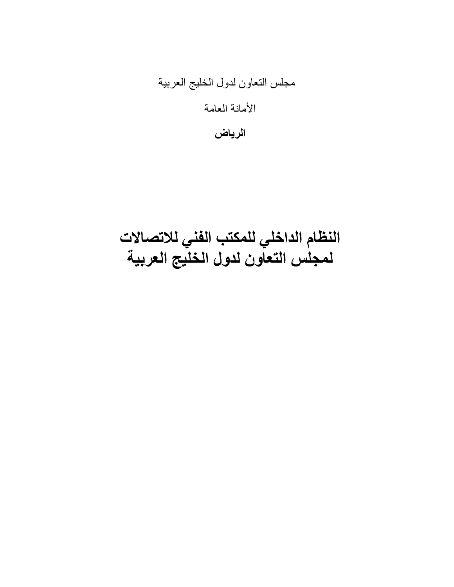مجلس النعاون لدول الخليج العربية

الأمانة العامة

الرياض

النظام الداخلي للمكتب الفني للاتصالات لمجلس التعاون لدول الخليج العربية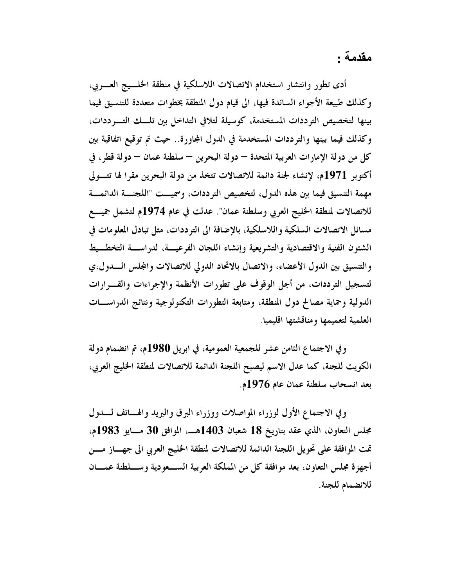مقدمة :

أدى تطور وانتشار استخدام الاتصالات اللاسلكية في منطقة الخلسيج العسريي، وكذلك طبيعة الأجواء السائدة فيها، الى قيام دول المنطقة بخطوات متعددة للتنسيق فيما بينها لتخصيص الترددات المستخدمة، كوسيلة لتلافى التداخل بين تلسك التسرددات، وكذلك فيما بينها والترددات المستخدمة في الدول المجاورة.. حيث تم توقيع اتفاقية بين كلِّ من دولة الإمارات العربية المتحدة – دولة البحرين – سلطنة عمان – دولة قطر ، في أكتوبر 1971م، لإنشاء لجنة دائمة للاتصالات تتخذ من دولة البحرين مقرا لها تتـولى مهمة التنسيق فيما بين هذه الدول، لتخصيص الترددات، وسميت "اللجنة الدائمة للاتصالات لمنطقة الخليج العربي وسلطنة عمان". عدلت في عام 1974م لتشمل جميــــع مسائل الاتصالات السلكية واللاسلكية، بالإضافة الى الترددات، مثل تبادل المعلومات في الشئون الفنية والاقتصادية والتشريعية وإنشاء اللجان الفرعيسة، لدراسسة التخطسيط والتنسيق بين الدول الأعضاء، والاتصال بالاتحاد الدولي للاتصالات والمجلس السدول،ي لتسجيل الترددات، من أجل الوقوف على تطورات الأنظمة والإجراءات والقسرارات الدولية وحماية مصالح دول المنطقة، ومتابعة التطورات التكنولوجية ونتائج الدراســات العلمية لتعميمها ومناقشتها اقليميا.

وفي الاجتماع الثامن عشر للجمعية العمومية، في ابريل 1980م، تم انضمام دولة الكويت للجنة، كما عدل الاسم ليصبح اللجنة الدائمة للاتصالات لمنطقة الخليج العربي، بعد انسحاب سلطنة عمان عام 1976م.

وفي الاجتماع الأول لوزراء المواصلات ووزراء البرق والبريد والهساتف لسدول مجلس التعاون، الذي عقد بتاريخ 18 شعبان 1403هـــ. الموافق 30 مـــايو 1983م، تمت الموافقة على تحويل اللجنة الدائمة للاتصالات لمنطقة الخليج العربي الى جهـــاز مــــن أجهزة مجلس التعاون، بعد موافقة كلِّ من المملكة العربية الســـعودية وســـلطنة عمـــان للانضمام للجنة.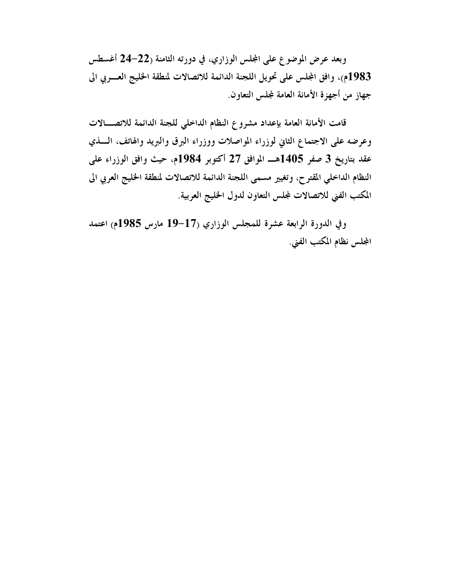وبعد عرض الموضوع على المجلس الوزاري، في دورته الثامنة (22–24 أغسطس 1983م)، وافق المجلس على تحويل اللجنة الدائمة للاتصالات لمنطقة الخليج العسربي الى جهاز من أجهزة الأمانة العامة لمجلس التعاون.

قامت الأمانة العامة بإعداد مشروع النظام الداخلي للجنة الدائمة للاتصــالات وعرضه على الاجتماع الثاني لوزراء المواصلات ووزراء البرق والبريد والهاتف، الـــــذي عقد بتاريخ 3 صفر 1405هـــ الموافق 27 أكتوبر 1984م، حيث وافق الوزراء على النظام الداخلي المقترح، وتغيير مسمى اللجنة الدائمة للاتصالات لمنطقة الخليج العربي الى المكتب الفني للاتصالات لمجلس التعاون لدول الخليج العربية.

وفي الدورة الرابعة عشرة للمجلس الوزاري (17-19 مارس 1985م) اعتمد المجلس نظام المكتب الفني.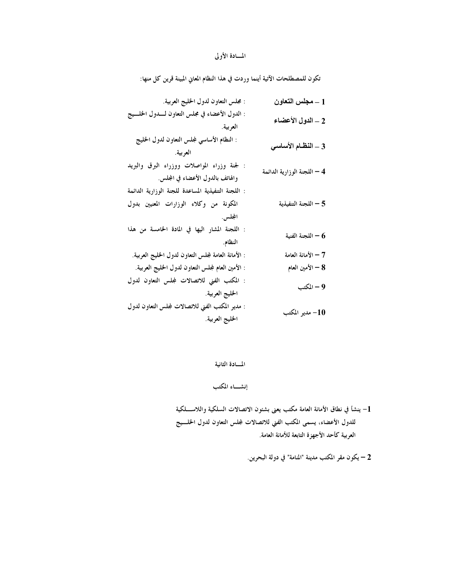## المسادة الأولى

تكون للمصطلحات الآتية أينما وردت في هذا النظام المعاني المبينة قرين كل منها:

| : مجلس التعاون لدول الخليج العربية.                                                                      | 1 ـــ مجلس التعاون          |
|----------------------------------------------------------------------------------------------------------|-----------------------------|
| : الدول الأعضاء في مجلس التعاون لــــدول الخلــــيج<br>العربية.                                          | 2 – الدول الأعضاء           |
| : النظام الأساسي لمجلس التعاون لدول الخليج<br>العربية.                                                   | 3 – النظام الأساسي          |
| : لجنة وزراء المواصلات ووزراء البرق والبريد<br>والهاتف بالدول الأعضاء في المجلس.                         | 4 – اللجنة الوزارية الدائمة |
| : اللجنة التنفيذية المساعدة للجنة الوزارية الدائمة<br>المكونة من وكلاء الوزارات المعنيين بدول<br>المجلس. | 5 - اللجنة التنفيذية        |
| : اللجنة المشار اليها في المادة الخامسة من هذا<br>النظام.                                                | اللجنة الفنية $\sim 6$      |
| : الأمانة العامة لمجلس التعاون لدول الخليج العربية.                                                      | 7 – الأمانة العامة          |
| : الأمين العام لمجلس التعاون لدول الخليج العربية.                                                        | 8 — الأمين العام            |
| : المكتب الفنى للاتصالات لمجلس التعاون لدول<br>الخليج العربية.                                           | 9 – المكتب                  |
| : مدير المكتب الفني للاتصالات لمجلس التعاون لدول<br>الخليج العربية.                                      | 10- مدير المكتب             |

المسادة الثانية

إنشساء المكتب

1– ينشأ في نطاق الأمانة العامة مكتب يعنى بشئون الاتصالات السلكية واللاســـلكية للدول الأعضاء، يسمى المكتب الفني للاتصالات لمجلس التعاون لدول الحلسيج العربية كأحد الأجهزة التابعة للأمانة العامة.

2 – يكون مقر المكتب مدينة "المنامة" في دولة البحرين.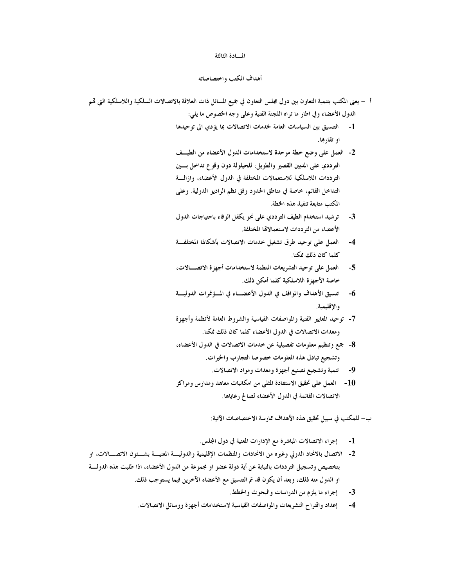#### المسادة الثالثة

#### أهداف المكتب واختصاصاته

- أ يعني المكتب بتنمية التعاون بين دول مجلس التعاون في جميع المسائل ذات العلاقة بالاتصالات السلكية واللاسلكية التي تمم الدول الأعضاء وفي اطار ما تراه اللجنة الفنية وعلى وجه الخصوص ما يلي:
	- 1- التنسيق بين السياسات العامة لخدمات الاتصالات بما يؤدي الى توحيدها او تقاربها.
	- 2- العمل على وضع خطة موحدة لاستخدامات الدول الأعضاء من الطيــف الترددي على المديين القصير والطويل، للحيلولة دون وقوع تداخل بسين الترددات اللاسلكية للاستعمالات المختلفة في الدول الأعضاء، وازالــــة التداخل القائم، خاصة في مناطق الحدود وفق نظم الراديو الدولية. وعلى المكتب متابعة تنفيذ هذه الخطة.
	- 3- ترشيد استخدام الطيف الترددي على نحو يكفل الوفاء باحتياجات الدول الأعضاء من الترددات لاستعمالالها المختلفة.
	- 4- العمل على توحيد طرق تشغيل خدمات الاتصالات بأشكالها المختلفة كلما كان ذلك ممكنا
	- العمل على توحيد التشريعات المنظمة لاستخدامات أجهزة الاتصـــالات،  $-5$ خاصة الأجهزة اللاسلكية كلما أمكن ذلك.
	- تنسيق الأهداف والمواقف في الدول الأعضـــاء في المــؤتمرات الدوليـــة  $-6$ والإقليمية.
	- 7- توحيد المعايير الفنية والمواصفات القياسية والشروط العامة لأنظمة وأجهزة ومعدات الاتصالات في الدول الأعضاء كلما كان ذلك ممكنا.
	- 8- جمع وتنظيم معلومات تفصيلية عن خدمات الاتصالات في الدول الأعضاء، وتشجيع تبادل هذه المعلومات خصوصا التجارب والخبرات.
		- 9- تنمية وتشجيع تصنيع أجهزة ومعدات ومواد الاتصالات.
	- 10- العمل على تحقيق الاستفادة المثلي من امكانيات معاهد ومدارس ومراكز الاتصالات القائمة في الدول الأعضاء لصالح رعاياها.
		- ب– للمكتب في سبيل تحقيق هذه الأهداف ممارسة الاختصاصات الآتية:
		- 1- [جراء الاتصالات المباشرة مع الإدارات المعنية في دول المجلس.
- 2- الاتصال بالاتحاد الدولي وغيره من الاتحادات والمنظمات الإقليمية والدوليسة المعنيسة بشسئون الاتصـــالات، او بتخصيص وتسجيل الترددات بالنيابة عن أية دولة عضو او مجموعة من الدول الأعضاء، اذا طلبت هذه الدولة او الدول منه ذلك، وبعد أن يكون قد تم التنسيق مع الأعضاء الآخرين فيما يستوجب ذلك.
	- إجراء ما يلزم من الدراسات والبحوث والخطط.  $-3$
	- إعداد واقتراح التشريعات والمواصفات القياسية لاستخدامات أجهزة ووسائل الاتصالات.  $-4$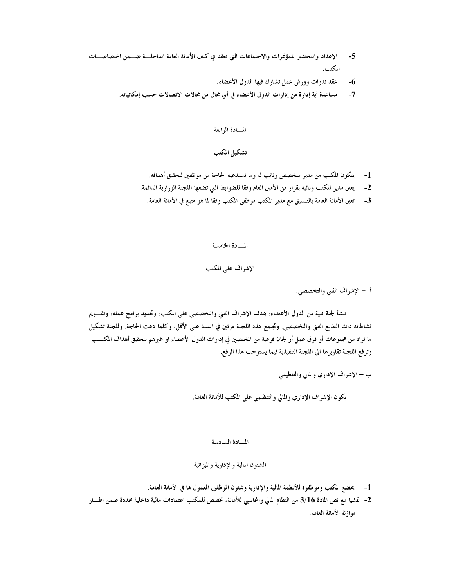- الإعداد والتحضير للمؤتمرات والاجتماعات التي تعقد في كنف الأمانة العامة الداخلــة ضــمن اختصاصـــات  $-5$ المكتب.
	- عقد ندوات وورش عمل تشارك فيها الدول الأعضاء.  $-6$
	- $-7$ مساعدة أية إدارة من إدارات الدول الأعضاء في أي مجال من مجالات الاتصالات حسب إمكانياته.

#### المسادة الرابعة

# تشكيل المكتب

- 1- يتكون المكتب من مدير متخصص ونائب له وما تستدعيه الحاجة من موظفين لتحقيق أهدافه.
- يعين مدير المكتب ونائبه بقرار من الأمين العام وفقا للضوابط التي تضعها اللجنة الوزارية الدائمة.  $-2$ 
	- 3- تعين الأمانة العامة بالتنسيق مع مدير المكتب موظفي المكتب وفقا لما هو متبع في الأمانة العامة.

### المسادة الخامسة

# الإشراف على المكتب

### أ – الإشراف الفني والتخصصي:

تنشأ لجنة فنية من الدول الأعضاء، بمدف الإشراف الفني والتخصصي على المكتب، وتحديد برامج عمله، وتقـــويم نشاطاته ذات الطابع الفني والتخصصي. وتجتمع هذه اللجنة مرتين في السنة على الأقل، وكلما دعت الحاجة. وللجنة تشكيل ما تراه من مجموعات أو فرق عمل أو لجان فرعية من المختصين في إدارات الدول الأعضاء او غيرهم لتحقيق أهداف المكتــب. وترفع اللجنة تقاريرها الى اللجنة التنفيذية فيما يستوجب هذا الرفع.

يكون الإشراف الإداري والمالي والتنظيمي على المكتب للأمانة العامة.

#### المسادة السادسة

## الشئون المالية والإدارية والميزانية

- 1- يخضع المكتب وموظفوه للأنظمة المالية والإدارية وشئون الموظفين المعمول بما في الأمانة العامة.
- 2- تمشيا مع نص المادة 3/16 من النظام المالي والمحاسبي للأمانة، تخصص للمكتب اعتمادات مالية داخلية محددة ضمن اطسار موازنة الأمانة العامة.